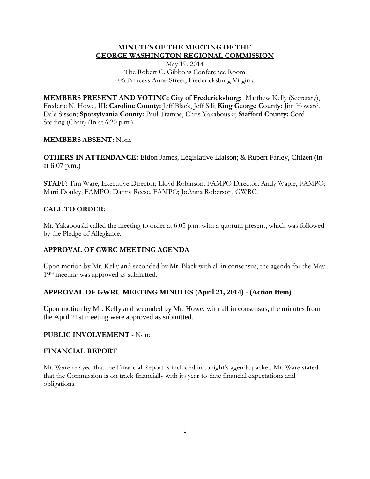### **MINUTES OF THE MEETING OF THE GEORGE WASHINGTON REGIONAL COMMISSION**

May 19, 2014 The Robert C. Gibbons Conference Room 406 Princess Anne Street, Fredericksburg Virginia

**MEMBERS PRESENT AND VOTING: City of Fredericksburg:** Matthew Kelly (Secretary), Frederic N. Howe, III; **Caroline County:** Jeff Black, Jeff Sili; **King George County:** Jim Howard, Dale Sisson; **Spotsylvania County:** Paul Trampe, Chris Yakabouski; **Stafford County:** Cord Sterling (Chair) (In at 6:20 p.m.)

## **MEMBERS ABSENT:** None

**OTHERS IN ATTENDANCE:** Eldon James, Legislative Liaison; & Rupert Farley, Citizen (in at 6:07 p.m.)

**STAFF:** Tim Ware, Executive Director; Lloyd Robinson, FAMPO Director; Andy Waple, FAMPO; Marti Donley, FAMPO; Danny Reese, FAMPO; JoAnna Roberson, GWRC.

## **CALL TO ORDER:**

Mr. Yakabouski called the meeting to order at 6:05 p.m. with a quorum present, which was followed by the Pledge of Allegiance.

### **APPROVAL OF GWRC MEETING AGENDA**

Upon motion by Mr. Kelly and seconded by Mr. Black with all in consensus, the agenda for the May 19<sup>th</sup> meeting was approved as submitted.

# **APPROVAL OF GWRC MEETING MINUTES (April 21, 2014) - (Action Item)**

Upon motion by Mr. Kelly and seconded by Mr. Howe, with all in consensus, the minutes from the April 21st meeting were approved as submitted.

### **PUBLIC INVOLVEMENT** - None

### **FINANCIAL REPORT**

Mr. Ware relayed that the Financial Report is included in tonight's agenda packet. Mr. Ware stated that the Commission is on track financially with its year-to-date financial expectations and obligations.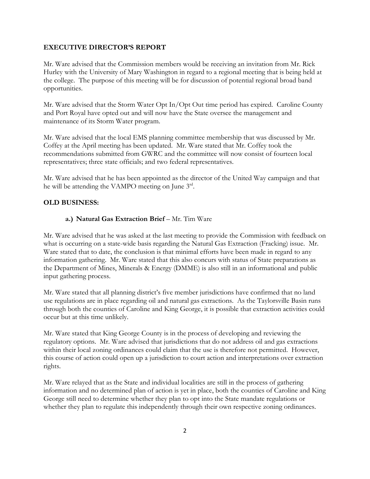#### **EXECUTIVE DIRECTOR'S REPORT**

Mr. Ware advised that the Commission members would be receiving an invitation from Mr. Rick Hurley with the University of Mary Washington in regard to a regional meeting that is being held at the college. The purpose of this meeting will be for discussion of potential regional broad band opportunities.

Mr. Ware advised that the Storm Water Opt In/Opt Out time period has expired. Caroline County and Port Royal have opted out and will now have the State oversee the management and maintenance of its Storm Water program.

Mr. Ware advised that the local EMS planning committee membership that was discussed by Mr. Coffey at the April meeting has been updated. Mr. Ware stated that Mr. Coffey took the recommendations submitted from GWRC and the committee will now consist of fourteen local representatives; three state officials; and two federal representatives.

Mr. Ware advised that he has been appointed as the director of the United Way campaign and that he will be attending the VAMPO meeting on June  $3<sup>rd</sup>$ .

### **OLD BUSINESS:**

#### **a.) Natural Gas Extraction Brief** – Mr. Tim Ware

Mr. Ware advised that he was asked at the last meeting to provide the Commission with feedback on what is occurring on a state-wide basis regarding the Natural Gas Extraction (Fracking) issue. Mr. Ware stated that to date, the conclusion is that minimal efforts have been made in regard to any information gathering. Mr. Ware stated that this also concurs with status of State preparations as the Department of Mines, Minerals & Energy (DMME) is also still in an informational and public input gathering process.

Mr. Ware stated that all planning district's five member jurisdictions have confirmed that no land use regulations are in place regarding oil and natural gas extractions. As the Taylorsville Basin runs through both the counties of Caroline and King George, it is possible that extraction activities could occur but at this time unlikely.

Mr. Ware stated that King George County is in the process of developing and reviewing the regulatory options. Mr. Ware advised that jurisdictions that do not address oil and gas extractions within their local zoning ordinances could claim that the use is therefore not permitted. However, this course of action could open up a jurisdiction to court action and interpretations over extraction rights.

Mr. Ware relayed that as the State and individual localities are still in the process of gathering information and no determined plan of action is yet in place, both the counties of Caroline and King George still need to determine whether they plan to opt into the State mandate regulations or whether they plan to regulate this independently through their own respective zoning ordinances.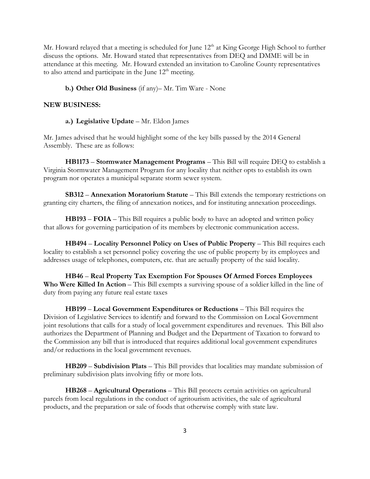Mr. Howard relayed that a meeting is scheduled for June 12<sup>th</sup> at King George High School to further discuss the options. Mr. Howard stated that representatives from DEQ and DMME will be in attendance at this meeting. Mr. Howard extended an invitation to Caroline County representatives to also attend and participate in the June  $12<sup>th</sup>$  meeting.

### **b.) Other Old Business** (if any)– Mr. Tim Ware - None

#### **NEW BUSINESS:**

**a.) Legislative Update** – Mr. Eldon James

Mr. James advised that he would highlight some of the key bills passed by the 2014 General Assembly. These are as follows:

**HB1173** – **Stormwater Management Programs** – This Bill will require DEQ to establish a Virginia Stormwater Management Program for any locality that neither opts to establish its own program nor operates a municipal separate storm sewer system.

**SB312** – **Annexation Moratorium Statute** – This Bill extends the temporary restrictions on granting city charters, the filing of annexation notices, and for instituting annexation proceedings.

**HB193** – **FOIA** – This Bill requires a public body to have an adopted and written policy that allows for governing participation of its members by electronic communication access.

**HB494** – **Locality Personnel Policy on Uses of Public Property** – This Bill requires each locality to establish a set personnel policy covering the use of public property by its employees and addresses usage of telephones, computers, etc. that are actually property of the said locality.

**HB46** – **Real Property Tax Exemption For Spouses Of Armed Forces Employees Who Were Killed In Action** – This Bill exempts a surviving spouse of a soldier killed in the line of duty from paying any future real estate taxes

**HB199** – **Local Government Expenditures or Reductions** – This Bill requires the Division of Legislative Services to identify and forward to the Commission on Local Government joint resolutions that calls for a study of local government expenditures and revenues. This Bill also authorizes the Department of Planning and Budget and the Department of Taxation to forward to the Commission any bill that is introduced that requires additional local government expenditures and/or reductions in the local government revenues.

**HB209** – **Subdivision Plats** – This Bill provides that localities may mandate submission of preliminary subdivision plats involving fifty or more lots.

**HB268** – **Agricultural Operations** – This Bill protects certain activities on agricultural parcels from local regulations in the conduct of agritourism activities, the sale of agricultural products, and the preparation or sale of foods that otherwise comply with state law.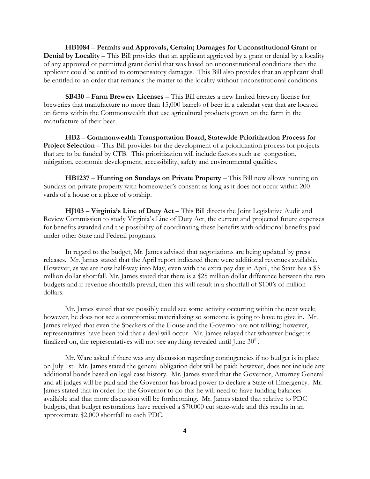**HB1084** – **Permits and Approvals, Certain; Damages for Unconstitutional Grant or Denial by Locality** – This Bill provides that an applicant aggrieved by a grant or denial by a locality of any approved or permitted grant denial that was based on unconstitutional conditions then the applicant could be entitled to compensatory damages. This Bill also provides that an applicant shall be entitled to an order that remands the matter to the locality without unconstitutional conditions.

**SB430** – **Farm Brewery Licenses** – This Bill creates a new limited brewery license for breweries that manufacture no more than 15,000 barrels of beer in a calendar year that are located on farms within the Commonwealth that use agricultural products grown on the farm in the manufacture of their beer.

**HB2** – **Commonwealth Transportation Board, Statewide Prioritization Process for Project Selection** – This Bill provides for the development of a prioritization process for projects that are to be funded by CTB. This prioritization will include factors such as: congestion, mitigation, economic development, accessibility, safety and environmental qualities.

**HB1237** – **Hunting on Sundays on Private Property** – This Bill now allows hunting on Sundays on private property with homeowner's consent as long as it does not occur within 200 yards of a house or a place of worship.

**HJ103** – **Virginia's Line of Duty Act** – This Bill directs the Joint Legislative Audit and Review Commission to study Virginia's Line of Duty Act, the current and projected future expenses for benefits awarded and the possibility of coordinating these benefits with additional benefits paid under other State and Federal programs.

In regard to the budget, Mr. James advised that negotiations are being updated by press releases. Mr. James stated that the April report indicated there were additional revenues available. However, as we are now half-way into May, even with the extra pay day in April, the State has a \$3 million dollar shortfall. Mr. James stated that there is a \$25 million dollar difference between the two budgets and if revenue shortfalls prevail, then this will result in a shortfall of \$100's of million dollars.

Mr. James stated that we possibly could see some activity occurring within the next week; however, he does not see a compromise materializing so someone is going to have to give in. Mr. James relayed that even the Speakers of the House and the Governor are not talking; however, representatives have been told that a deal will occur. Mr. James relayed that whatever budget is finalized on, the representatives will not see anything revealed until June  $30<sup>th</sup>$ .

Mr. Ware asked if there was any discussion regarding contingencies if no budget is in place on July 1st. Mr. James stated the general obligation debt will be paid; however, does not include any additional bonds based on legal case history. Mr. James stated that the Governor, Attorney General and all judges will be paid and the Governor has broad power to declare a State of Emergency. Mr. James stated that in order for the Governor to do this he will need to have funding balances available and that more discussion will be forthcoming. Mr. James stated that relative to PDC budgets, that budget restorations have received a \$70,000 cut state-wide and this results in an approximate \$2,000 shortfall to each PDC.